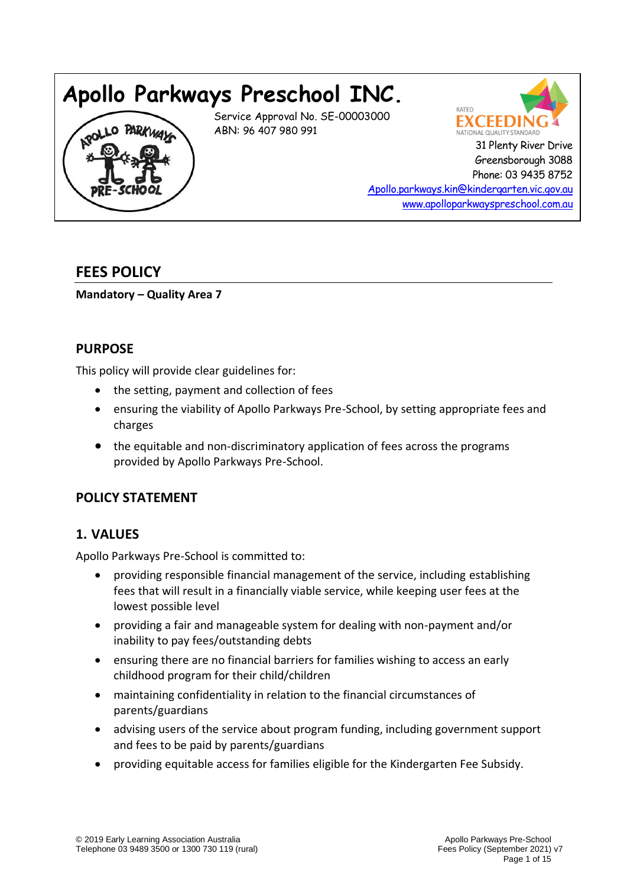# **Apollo Parkways Preschool INC.**

Service Approval No. SE-00003000 ABN: 96 407 980 991



 Greensborough 3088 Phone: 03 9435 8752

[Apollo.parkways.kin@kindergarten.vic.gov.au](mailto:Apollo.parkways.kin@kindergarten.vic.gov.au) [www.apolloparkwayspreschool.com.au](http://www.apolloparkwayspreschool.com.au/)

## **FEES POLICY**

**Mandatory – Quality Area 7**

### **PURPOSE**

This policy will provide clear guidelines for:

- the setting, payment and collection of fees
- ensuring the viability of Apollo Parkways Pre-School, by setting appropriate fees and charges
- the equitable and non-discriminatory application of fees across the programs provided by Apollo Parkways Pre-School.

### **POLICY STATEMENT**

### **1. VALUES**

Apollo Parkways Pre-School is committed to:

- providing responsible financial management of the service, including establishing fees that will result in a financially viable service, while keeping user fees at the lowest possible level
- providing a fair and manageable system for dealing with non-payment and/or inability to pay fees/outstanding debts
- ensuring there are no financial barriers for families wishing to access an early childhood program for their child/children
- maintaining confidentiality in relation to the financial circumstances of parents/guardians
- advising users of the service about program funding, including government support and fees to be paid by parents/guardians
- providing equitable access for families eligible for the Kindergarten Fee Subsidy.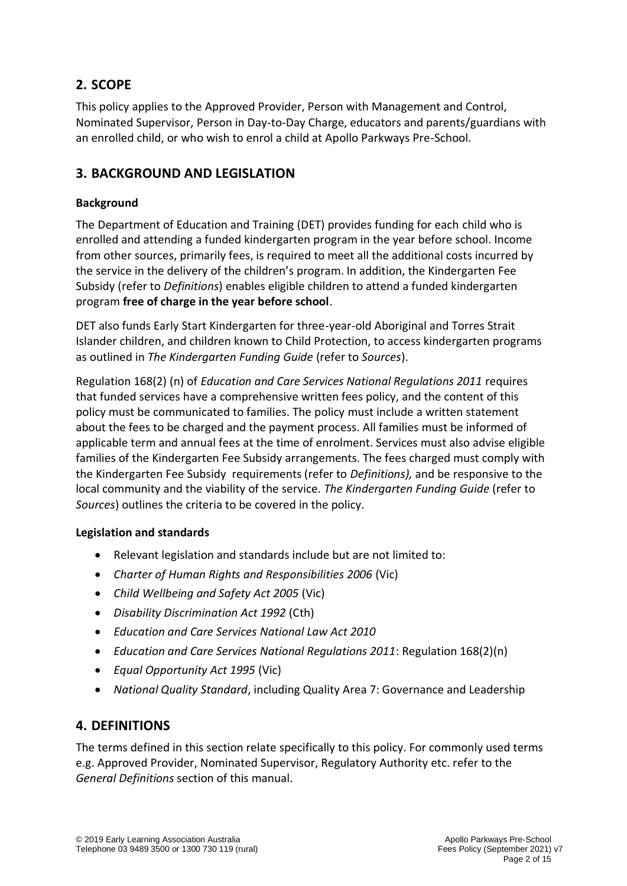## **2. SCOPE**

This policy applies to the Approved Provider, Person with Management and Control, Nominated Supervisor, Person in Day-to-Day Charge, educators and parents/guardians with an enrolled child, or who wish to enrol a child at Apollo Parkways Pre-School.

### **3. BACKGROUND AND LEGISLATION**

#### **Background**

The Department of Education and Training (DET) provides funding for each child who is enrolled and attending a funded kindergarten program in the year before school. Income from other sources, primarily fees, is required to meet all the additional costs incurred by the service in the delivery of the children's program. In addition, the Kindergarten Fee Subsidy (refer to *Definitions*) enables eligible children to attend a funded kindergarten program **free of charge in the year before school**.

DET also funds Early Start Kindergarten for three-year-old Aboriginal and Torres Strait Islander children, and children known to Child Protection, to access kindergarten programs as outlined in *The Kindergarten Funding Guide* (refer to *Sources*).

Regulation 168(2) (n) of *Education and Care Services National Regulations 2011* requires that funded services have a comprehensive written fees policy, and the content of this policy must be communicated to families. The policy must include a written statement about the fees to be charged and the payment process. All families must be informed of applicable term and annual fees at the time of enrolment. Services must also advise eligible families of the Kindergarten Fee Subsidy arrangements. The fees charged must comply with the Kindergarten Fee Subsidy requirements (refer to *Definitions),* and be responsive to the local community and the viability of the service. *The Kindergarten Funding Guide* (refer to *Sources*) outlines the criteria to be covered in the policy.

#### **Legislation and standards**

- Relevant legislation and standards include but are not limited to:
- *Charter of Human Rights and Responsibilities 2006* (Vic)
- *Child Wellbeing and Safety Act 2005* (Vic)
- *Disability Discrimination Act 1992* (Cth)
- *Education and Care Services National Law Act 2010*
- *Education and Care Services National Regulations 2011*: Regulation 168(2)(n)
- *Equal Opportunity Act 1995* (Vic)
- *National Quality Standard*, including Quality Area 7: Governance and Leadership

#### **4. DEFINITIONS**

The terms defined in this section relate specifically to this policy. For commonly used terms e.g. Approved Provider, Nominated Supervisor, Regulatory Authority etc. refer to the *General Definitions* section of this manual.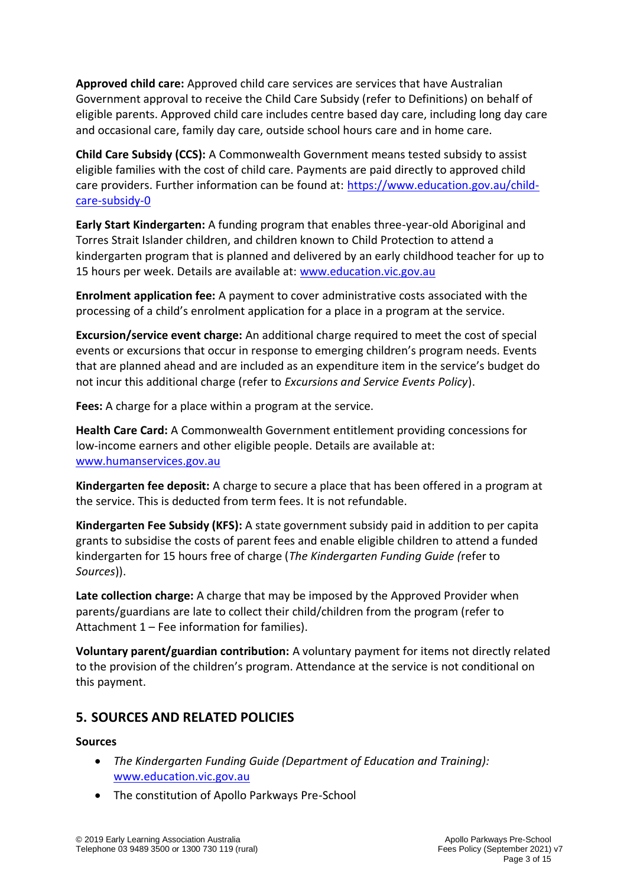**Approved child care:** Approved child care services are services that have Australian Government approval to receive the Child Care Subsidy (refer to Definitions) on behalf of eligible parents. Approved child care includes centre based day care, including long day care and occasional care, family day care, outside school hours care and in home care.

**Child Care Subsidy (CCS):** A Commonwealth Government means tested subsidy to assist eligible families with the cost of child care. Payments are paid directly to approved child care providers. Further information can be found at: [https://www.education.gov.au/child](https://www.education.gov.au/child-care-subsidy-0)[care-subsidy-0](https://www.education.gov.au/child-care-subsidy-0)

**Early Start Kindergarten:** A funding program that enables three-year-old Aboriginal and Torres Strait Islander children, and children known to Child Protection to attend a kindergarten program that is planned and delivered by an early childhood teacher for up to 15 hours per week. Details are available at: [www.education.vic.gov.au](http://www.education.vic.gov.au/)

**Enrolment application fee:** A payment to cover administrative costs associated with the processing of a child's enrolment application for a place in a program at the service.

**Excursion/service event charge:** An additional charge required to meet the cost of special events or excursions that occur in response to emerging children's program needs. Events that are planned ahead and are included as an expenditure item in the service's budget do not incur this additional charge (refer to *Excursions and Service Events Policy*).

**Fees:** A charge for a place within a program at the service.

**Health Care Card:** A Commonwealth Government entitlement providing concessions for low-income earners and other eligible people. Details are available at: [www.humanservices.gov.au](https://www.humanservices.gov.au/)

**Kindergarten fee deposit:** A charge to secure a place that has been offered in a program at the service. This is deducted from term fees. It is not refundable.

**Kindergarten Fee Subsidy (KFS):** A state government subsidy paid in addition to per capita grants to subsidise the costs of parent fees and enable eligible children to attend a funded kindergarten for 15 hours free of charge (*The Kindergarten Funding Guide (*refer to *Sources*)).

**Late collection charge:** A charge that may be imposed by the Approved Provider when parents/guardians are late to collect their child/children from the program (refer to Attachment 1 – Fee information for families).

**Voluntary parent/guardian contribution:** A voluntary payment for items not directly related to the provision of the children's program. Attendance at the service is not conditional on this payment.

### **5. SOURCES AND RELATED POLICIES**

#### **Sources**

- *The Kindergarten Funding Guide (Department of Education and Training):* [www.education.vic.gov.au](http://www.education.vic.gov.au/)
- The constitution of Apollo Parkways Pre-School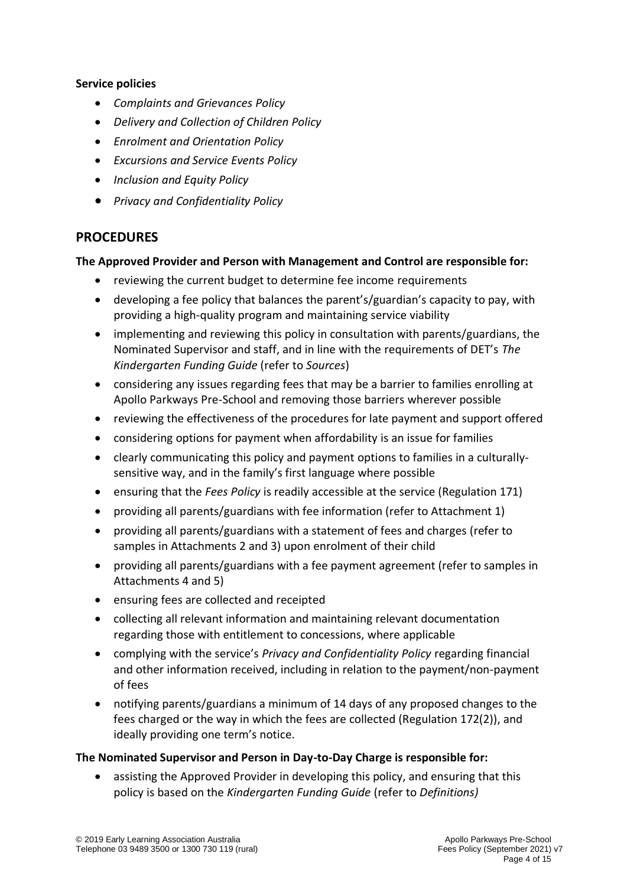#### **Service policies**

- *Complaints and Grievances Policy*
- *Delivery and Collection of Children Policy*
- *Enrolment and Orientation Policy*
- *Excursions and Service Events Policy*
- *Inclusion and Equity Policy*
- *Privacy and Confidentiality Policy*

### **PROCEDURES**

#### **The Approved Provider and Person with Management and Control are responsible for:**

- reviewing the current budget to determine fee income requirements
- developing a fee policy that balances the parent's/guardian's capacity to pay, with providing a high-quality program and maintaining service viability
- implementing and reviewing this policy in consultation with parents/guardians, the Nominated Supervisor and staff, and in line with the requirements of DET's *The Kindergarten Funding Guide* (refer to *Sources*)
- considering any issues regarding fees that may be a barrier to families enrolling at Apollo Parkways Pre-School and removing those barriers wherever possible
- reviewing the effectiveness of the procedures for late payment and support offered
- considering options for payment when affordability is an issue for families
- clearly communicating this policy and payment options to families in a culturallysensitive way, and in the family's first language where possible
- ensuring that the *Fees Policy* is readily accessible at the service (Regulation 171)
- providing all parents/guardians with fee information (refer to Attachment 1)
- providing all parents/guardians with a statement of fees and charges (refer to samples in Attachments 2 and 3) upon enrolment of their child
- providing all parents/guardians with a fee payment agreement (refer to samples in Attachments 4 and 5)
- ensuring fees are collected and receipted
- collecting all relevant information and maintaining relevant documentation regarding those with entitlement to concessions, where applicable
- complying with the service's *Privacy and Confidentiality Policy* regarding financial and other information received, including in relation to the payment/non-payment of fees
- notifying parents/guardians a minimum of 14 days of any proposed changes to the fees charged or the way in which the fees are collected (Regulation 172(2)), and ideally providing one term's notice.

#### **The Nominated Supervisor and Person in Day-to-Day Charge is responsible for:**

• assisting the Approved Provider in developing this policy, and ensuring that this policy is based on the *Kindergarten Funding Guide* (refer to *Definitions)*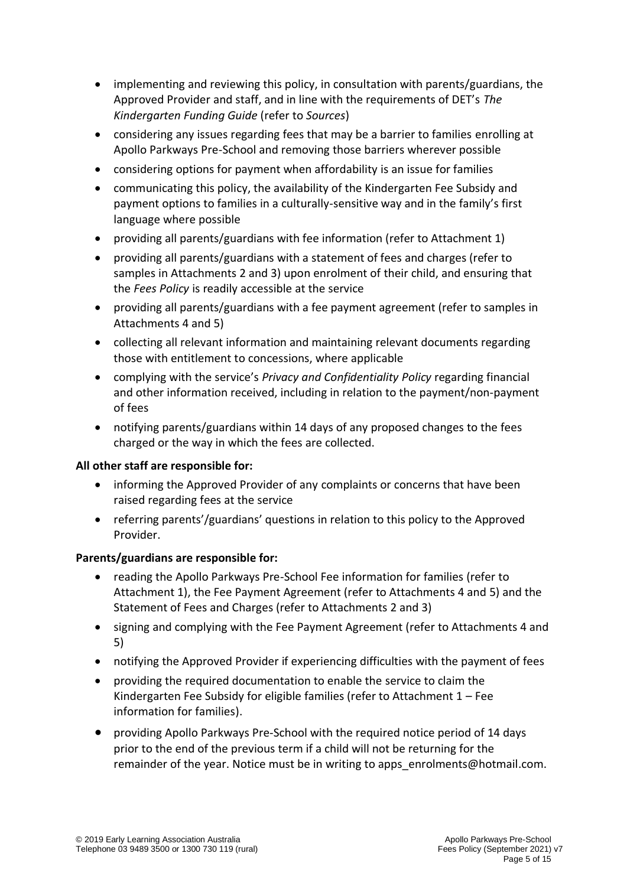- implementing and reviewing this policy, in consultation with parents/guardians, the Approved Provider and staff, and in line with the requirements of DET's *The Kindergarten Funding Guide* (refer to *Sources*)
- considering any issues regarding fees that may be a barrier to families enrolling at Apollo Parkways Pre-School and removing those barriers wherever possible
- considering options for payment when affordability is an issue for families
- communicating this policy, the availability of the Kindergarten Fee Subsidy and payment options to families in a culturally-sensitive way and in the family's first language where possible
- providing all parents/guardians with fee information (refer to Attachment 1)
- providing all parents/guardians with a statement of fees and charges (refer to samples in Attachments 2 and 3) upon enrolment of their child, and ensuring that the *Fees Policy* is readily accessible at the service
- providing all parents/guardians with a fee payment agreement (refer to samples in Attachments 4 and 5)
- collecting all relevant information and maintaining relevant documents regarding those with entitlement to concessions, where applicable
- complying with the service's *Privacy and Confidentiality Policy* regarding financial and other information received, including in relation to the payment/non-payment of fees
- notifying parents/guardians within 14 days of any proposed changes to the fees charged or the way in which the fees are collected.

#### **All other staff are responsible for:**

- informing the Approved Provider of any complaints or concerns that have been raised regarding fees at the service
- referring parents'/guardians' questions in relation to this policy to the Approved Provider.

#### **Parents/guardians are responsible for:**

- reading the Apollo Parkways Pre-School Fee information for families (refer to Attachment 1), the Fee Payment Agreement (refer to Attachments 4 and 5) and the Statement of Fees and Charges (refer to Attachments 2 and 3)
- signing and complying with the Fee Payment Agreement (refer to Attachments 4 and 5)
- notifying the Approved Provider if experiencing difficulties with the payment of fees
- providing the required documentation to enable the service to claim the Kindergarten Fee Subsidy for eligible families (refer to Attachment 1 – Fee information for families).
- providing Apollo Parkways Pre-School with the required notice period of 14 days prior to the end of the previous term if a child will not be returning for the remainder of the year. Notice must be in writing to apps\_enrolments@hotmail.com.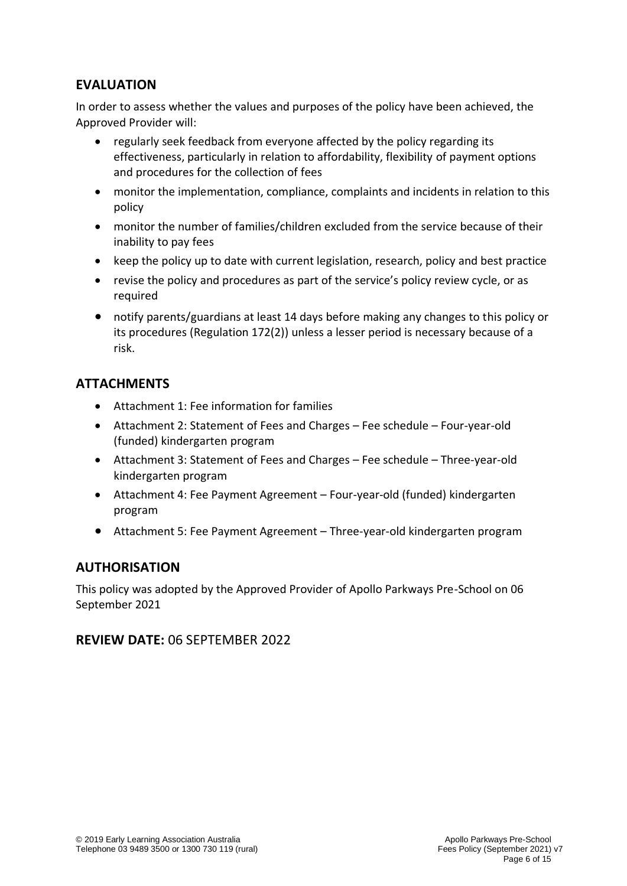### **EVALUATION**

In order to assess whether the values and purposes of the policy have been achieved, the Approved Provider will:

- regularly seek feedback from everyone affected by the policy regarding its effectiveness, particularly in relation to affordability, flexibility of payment options and procedures for the collection of fees
- monitor the implementation, compliance, complaints and incidents in relation to this policy
- monitor the number of families/children excluded from the service because of their inability to pay fees
- keep the policy up to date with current legislation, research, policy and best practice
- revise the policy and procedures as part of the service's policy review cycle, or as required
- notify parents/guardians at least 14 days before making any changes to this policy or its procedures (Regulation 172(2)) unless a lesser period is necessary because of a risk.

### **ATTACHMENTS**

- Attachment 1: Fee information for families
- Attachment 2: Statement of Fees and Charges Fee schedule Four-year-old (funded) kindergarten program
- Attachment 3: Statement of Fees and Charges Fee schedule Three-year-old kindergarten program
- Attachment 4: Fee Payment Agreement Four-year-old (funded) kindergarten program
- Attachment 5: Fee Payment Agreement Three-year-old kindergarten program

#### **AUTHORISATION**

This policy was adopted by the Approved Provider of Apollo Parkways Pre-School on 06 September 2021

#### **REVIEW DATE:** 06 SEPTEMBER 2022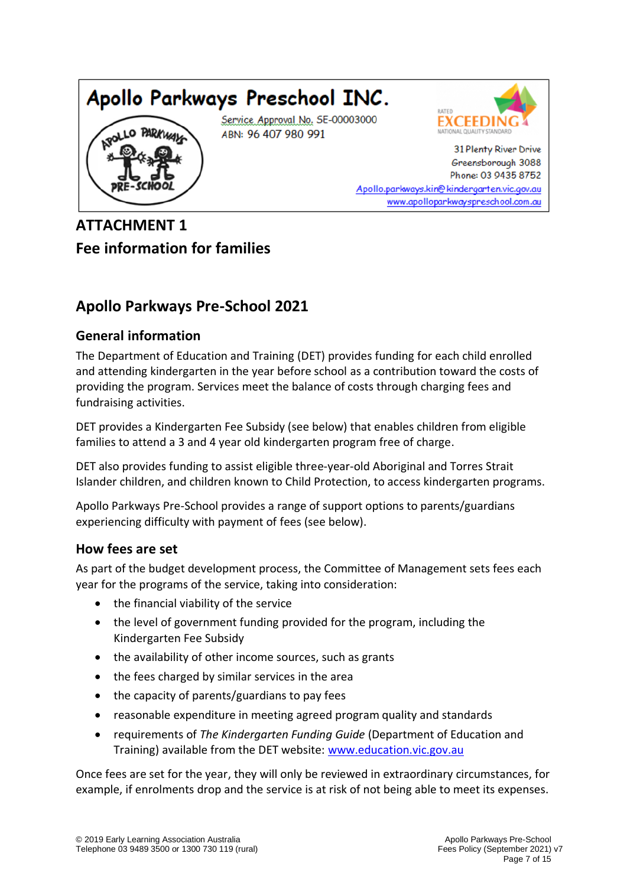



31 Plenty River Drive Greensborough 3088 Phone: 03 9435 8752 Apollo.parkways.kin@kindergarten.vic.gov.au www.apolloparkwayspreschool.com.au

## **ATTACHMENT 1 Fee information for families**

## **Apollo Parkways Pre-School 2021**

### **General information**

The Department of Education and Training (DET) provides funding for each child enrolled and attending kindergarten in the year before school as a contribution toward the costs of providing the program. Services meet the balance of costs through charging fees and fundraising activities.

DET provides a Kindergarten Fee Subsidy (see below) that enables children from eligible families to attend a 3 and 4 year old kindergarten program free of charge.

DET also provides funding to assist eligible three-year-old Aboriginal and Torres Strait Islander children, and children known to Child Protection, to access kindergarten programs.

Apollo Parkways Pre-School provides a range of support options to parents/guardians experiencing difficulty with payment of fees (see below).

### **How fees are set**

As part of the budget development process, the Committee of Management sets fees each year for the programs of the service, taking into consideration:

- the financial viability of the service
- the level of government funding provided for the program, including the Kindergarten Fee Subsidy
- the availability of other income sources, such as grants
- the fees charged by similar services in the area
- the capacity of parents/guardians to pay fees
- reasonable expenditure in meeting agreed program quality and standards
- requirements of *The Kindergarten Funding Guide* (Department of Education and Training) available from the DET website: [www.education.vic.gov.au](http://www.education.vic.gov.au/)

Once fees are set for the year, they will only be reviewed in extraordinary circumstances, for example, if enrolments drop and the service is at risk of not being able to meet its expenses.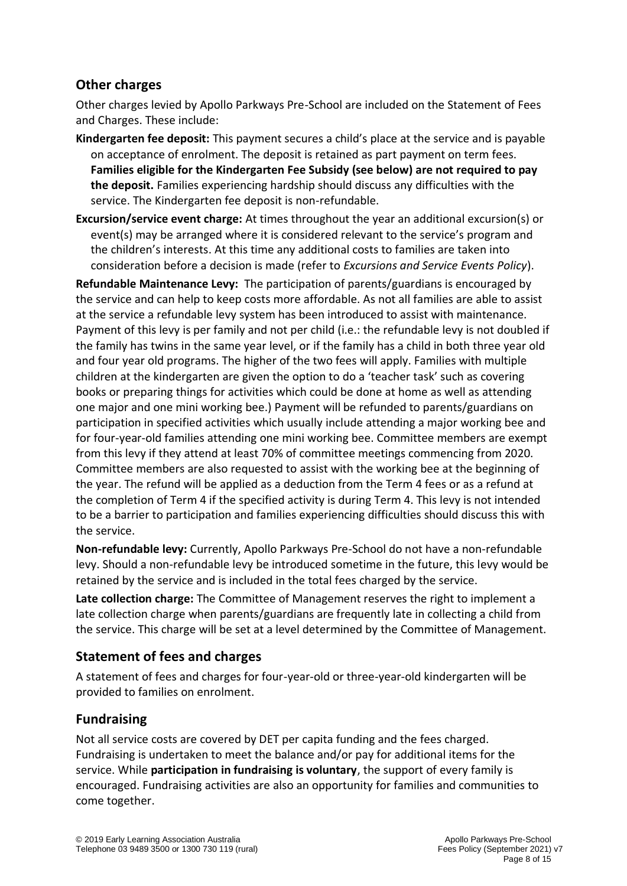### **Other charges**

Other charges levied by Apollo Parkways Pre-School are included on the Statement of Fees and Charges. These include:

- **Kindergarten fee deposit:** This payment secures a child's place at the service and is payable on acceptance of enrolment. The deposit is retained as part payment on term fees. **Families eligible for the Kindergarten Fee Subsidy (see below) are not required to pay the deposit.** Families experiencing hardship should discuss any difficulties with the service. The Kindergarten fee deposit is non-refundable.
- **Excursion/service event charge:** At times throughout the year an additional excursion(s) or event(s) may be arranged where it is considered relevant to the service's program and the children's interests. At this time any additional costs to families are taken into consideration before a decision is made (refer to *Excursions and Service Events Policy*).

**Refundable Maintenance Levy:** The participation of parents/guardians is encouraged by the service and can help to keep costs more affordable. As not all families are able to assist at the service a refundable levy system has been introduced to assist with maintenance. Payment of this levy is per family and not per child (i.e.: the refundable levy is not doubled if the family has twins in the same year level, or if the family has a child in both three year old and four year old programs. The higher of the two fees will apply. Families with multiple children at the kindergarten are given the option to do a 'teacher task' such as covering books or preparing things for activities which could be done at home as well as attending one major and one mini working bee.) Payment will be refunded to parents/guardians on participation in specified activities which usually include attending a major working bee and for four-year-old families attending one mini working bee. Committee members are exempt from this levy if they attend at least 70% of committee meetings commencing from 2020. Committee members are also requested to assist with the working bee at the beginning of the year. The refund will be applied as a deduction from the Term 4 fees or as a refund at the completion of Term 4 if the specified activity is during Term 4. This levy is not intended to be a barrier to participation and families experiencing difficulties should discuss this with the service.

**Non-refundable levy:** Currently, Apollo Parkways Pre-School do not have a non-refundable levy. Should a non-refundable levy be introduced sometime in the future, this levy would be retained by the service and is included in the total fees charged by the service.

**Late collection charge:** The Committee of Management reserves the right to implement a late collection charge when parents/guardians are frequently late in collecting a child from the service. This charge will be set at a level determined by the Committee of Management.

### **Statement of fees and charges**

A statement of fees and charges for four-year-old or three-year-old kindergarten will be provided to families on enrolment.

### **Fundraising**

Not all service costs are covered by DET per capita funding and the fees charged. Fundraising is undertaken to meet the balance and/or pay for additional items for the service. While **participation in fundraising is voluntary**, the support of every family is encouraged. Fundraising activities are also an opportunity for families and communities to come together.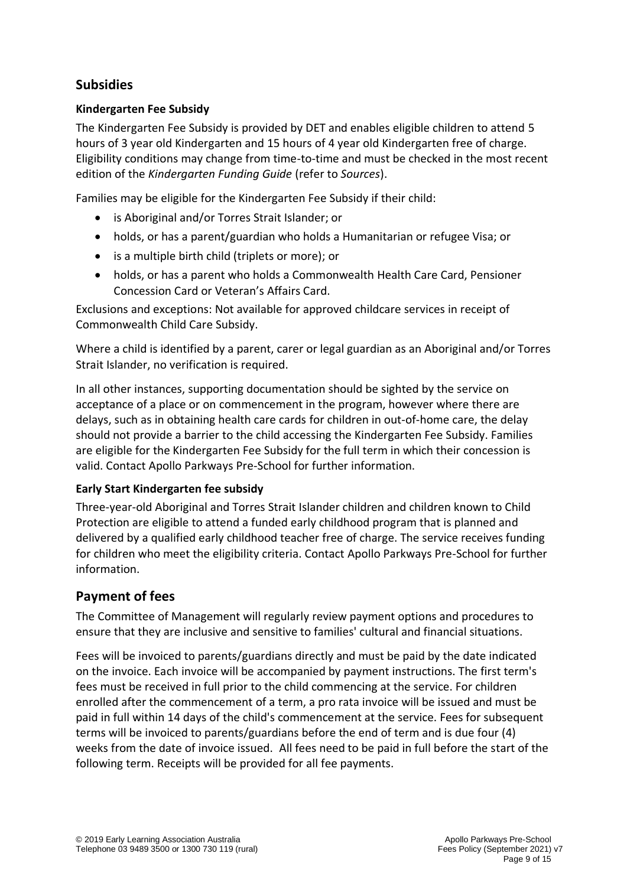### **Subsidies**

#### **Kindergarten Fee Subsidy**

The Kindergarten Fee Subsidy is provided by DET and enables eligible children to attend 5 hours of 3 year old Kindergarten and 15 hours of 4 year old Kindergarten free of charge. Eligibility conditions may change from time-to-time and must be checked in the most recent edition of the *Kindergarten Funding Guide* (refer to *Sources*).

Families may be eligible for the Kindergarten Fee Subsidy if their child:

- is Aboriginal and/or Torres Strait Islander; or
- holds, or has a parent/guardian who holds a Humanitarian or refugee Visa; or
- is a multiple birth child (triplets or more); or
- holds, or has a parent who holds a Commonwealth Health Care Card, Pensioner Concession Card or Veteran's Affairs Card.

Exclusions and exceptions: Not available for approved childcare services in receipt of Commonwealth Child Care Subsidy.

Where a child is identified by a parent, carer or legal guardian as an Aboriginal and/or Torres Strait Islander, no verification is required.

In all other instances, supporting documentation should be sighted by the service on acceptance of a place or on commencement in the program, however where there are delays, such as in obtaining health care cards for children in out-of-home care, the delay should not provide a barrier to the child accessing the Kindergarten Fee Subsidy. Families are eligible for the Kindergarten Fee Subsidy for the full term in which their concession is valid. Contact Apollo Parkways Pre-School for further information.

#### **Early Start Kindergarten fee subsidy**

Three-year-old Aboriginal and Torres Strait Islander children and children known to Child Protection are eligible to attend a funded early childhood program that is planned and delivered by a qualified early childhood teacher free of charge. The service receives funding for children who meet the eligibility criteria. Contact Apollo Parkways Pre-School for further information.

### **Payment of fees**

The Committee of Management will regularly review payment options and procedures to ensure that they are inclusive and sensitive to families' cultural and financial situations.

Fees will be invoiced to parents/guardians directly and must be paid by the date indicated on the invoice. Each invoice will be accompanied by payment instructions. The first term's fees must be received in full prior to the child commencing at the service. For children enrolled after the commencement of a term, a pro rata invoice will be issued and must be paid in full within 14 days of the child's commencement at the service. Fees for subsequent terms will be invoiced to parents/guardians before the end of term and is due four (4) weeks from the date of invoice issued. All fees need to be paid in full before the start of the following term. Receipts will be provided for all fee payments.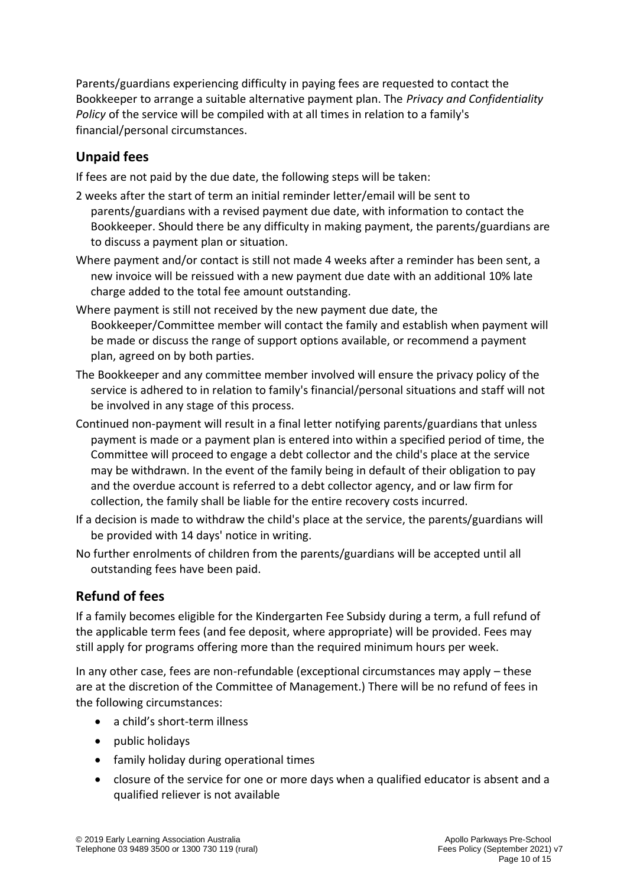Parents/guardians experiencing difficulty in paying fees are requested to contact the Bookkeeper to arrange a suitable alternative payment plan. The *Privacy and Confidentiality Policy* of the service will be compiled with at all times in relation to a family's financial/personal circumstances.

### **Unpaid fees**

If fees are not paid by the due date, the following steps will be taken:

- 2 weeks after the start of term an initial reminder letter/email will be sent to parents/guardians with a revised payment due date, with information to contact the Bookkeeper. Should there be any difficulty in making payment, the parents/guardians are to discuss a payment plan or situation.
- Where payment and/or contact is still not made 4 weeks after a reminder has been sent, a new invoice will be reissued with a new payment due date with an additional 10% late charge added to the total fee amount outstanding.
- Where payment is still not received by the new payment due date, the Bookkeeper/Committee member will contact the family and establish when payment will be made or discuss the range of support options available, or recommend a payment plan, agreed on by both parties.
- The Bookkeeper and any committee member involved will ensure the privacy policy of the service is adhered to in relation to family's financial/personal situations and staff will not be involved in any stage of this process.
- Continued non-payment will result in a final letter notifying parents/guardians that unless payment is made or a payment plan is entered into within a specified period of time, the Committee will proceed to engage a debt collector and the child's place at the service may be withdrawn. In the event of the family being in default of their obligation to pay and the overdue account is referred to a debt collector agency, and or law firm for collection, the family shall be liable for the entire recovery costs incurred.
- If a decision is made to withdraw the child's place at the service, the parents/guardians will be provided with 14 days' notice in writing.
- No further enrolments of children from the parents/guardians will be accepted until all outstanding fees have been paid.

### **Refund of fees**

If a family becomes eligible for the Kindergarten Fee Subsidy during a term, a full refund of the applicable term fees (and fee deposit, where appropriate) will be provided. Fees may still apply for programs offering more than the required minimum hours per week.

In any other case, fees are non-refundable (exceptional circumstances may apply – these are at the discretion of the Committee of Management.) There will be no refund of fees in the following circumstances:

- a child's short-term illness
- public holidays
- family holiday during operational times
- closure of the service for one or more days when a qualified educator is absent and a qualified reliever is not available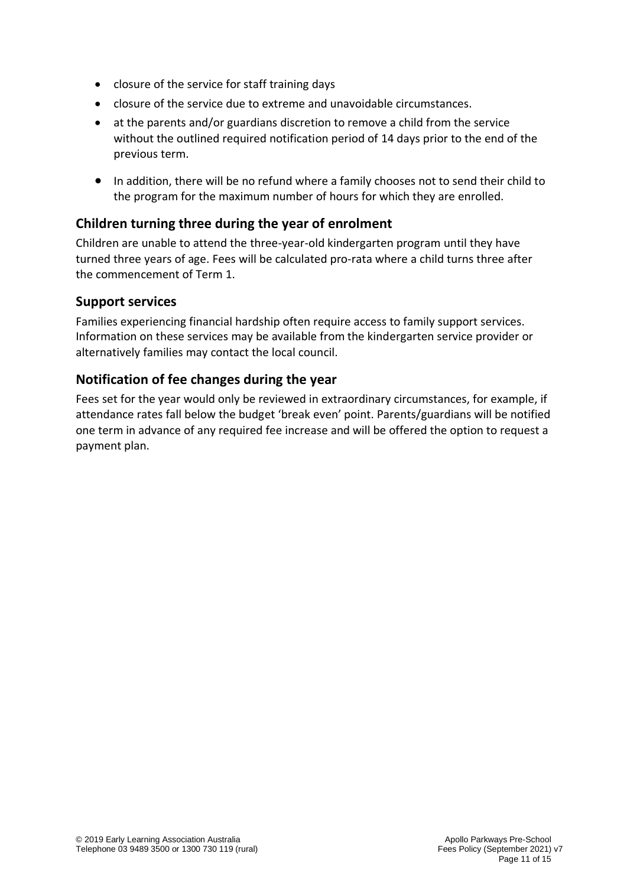- closure of the service for staff training days
- closure of the service due to extreme and unavoidable circumstances.
- at the parents and/or guardians discretion to remove a child from the service without the outlined required notification period of 14 days prior to the end of the previous term.
- In addition, there will be no refund where a family chooses not to send their child to the program for the maximum number of hours for which they are enrolled.

### **Children turning three during the year of enrolment**

Children are unable to attend the three-year-old kindergarten program until they have turned three years of age. Fees will be calculated pro-rata where a child turns three after the commencement of Term 1.

#### **Support services**

Families experiencing financial hardship often require access to family support services. Information on these services may be available from the kindergarten service provider or alternatively families may contact the local council.

### **Notification of fee changes during the year**

Fees set for the year would only be reviewed in extraordinary circumstances, for example, if attendance rates fall below the budget 'break even' point. Parents/guardians will be notified one term in advance of any required fee increase and will be offered the option to request a payment plan.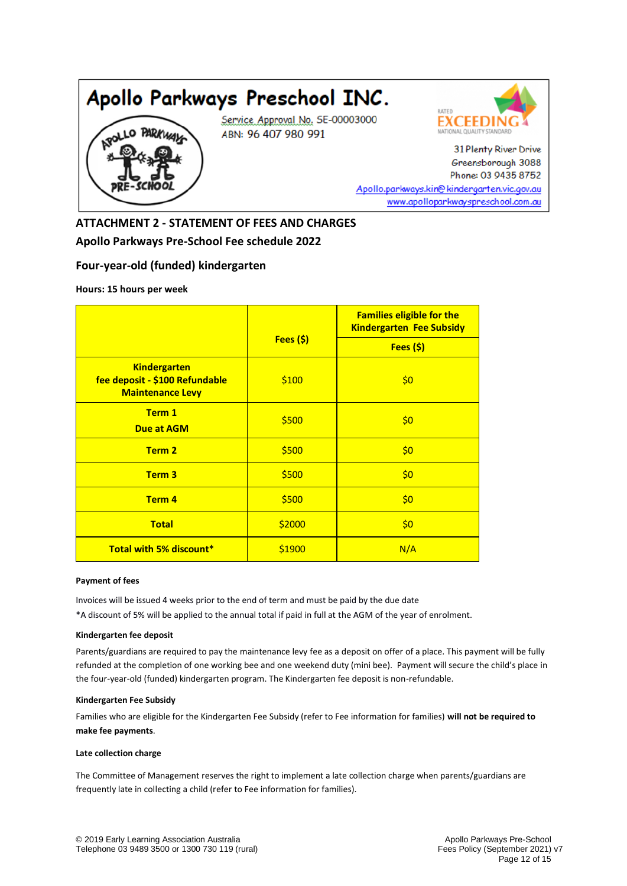



31 Plenty River Drive Greensborough 3088 Phone: 03 9435 8752 Apollo.parkways.kin@kindergarten.vic.gov.au www.apolloparkwayspreschool.com.au

**ATTACHMENT 2 - STATEMENT OF FEES AND CHARGES Apollo Parkways Pre-School Fee schedule 2022**

#### **Four-year-old (funded) kindergarten**

**Hours: 15 hours per week**

|                                                                                  |            | <b>Families eligible for the</b><br><b>Kindergarten Fee Subsidy</b> |  |  |  |
|----------------------------------------------------------------------------------|------------|---------------------------------------------------------------------|--|--|--|
|                                                                                  | Fees $(s)$ | Fees $(s)$                                                          |  |  |  |
| <b>Kindergarten</b><br>fee deposit - \$100 Refundable<br><b>Maintenance Levy</b> | \$100      | \$0                                                                 |  |  |  |
| Term 1<br><b>Due at AGM</b>                                                      | \$500      | \$0                                                                 |  |  |  |
| Term 2                                                                           | \$500      | \$0                                                                 |  |  |  |
| Term <sub>3</sub>                                                                | \$500      | \$0                                                                 |  |  |  |
| Term 4                                                                           | \$500      | \$0                                                                 |  |  |  |
| <b>Total</b>                                                                     | \$2000     | \$0                                                                 |  |  |  |
| <b>Total with 5% discount*</b>                                                   | \$1900     | N/A                                                                 |  |  |  |

#### **Payment of fees**

Invoices will be issued 4 weeks prior to the end of term and must be paid by the due date

\*A discount of 5% will be applied to the annual total if paid in full at the AGM of the year of enrolment.

#### **Kindergarten fee deposit**

Parents/guardians are required to pay the maintenance levy fee as a deposit on offer of a place. This payment will be fully refunded at the completion of one working bee and one weekend duty (mini bee). Payment will secure the child's place in the four-year-old (funded) kindergarten program. The Kindergarten fee deposit is non-refundable.

#### **Kindergarten Fee Subsidy**

Families who are eligible for the Kindergarten Fee Subsidy (refer to Fee information for families) **will not be required to make fee payments**.

#### **Late collection charge**

The Committee of Management reserves the right to implement a late collection charge when parents/guardians are frequently late in collecting a child (refer to Fee information for families).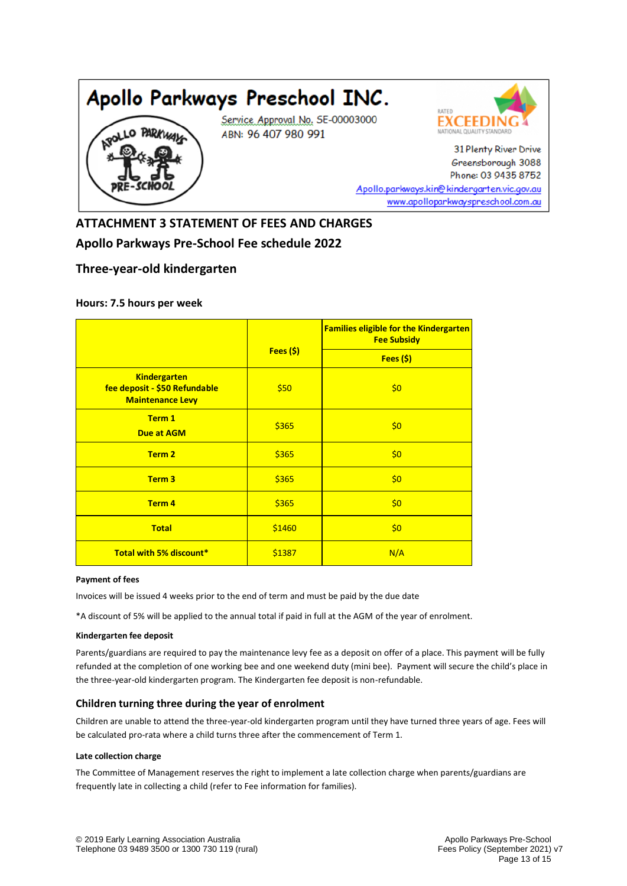



31 Plenty River Drive Greensborough 3088 Phone: 03 9435 8752 Apollo.parkways.kin@kindergarten.vic.gov.au www.apolloparkwayspreschool.com.au

## **ATTACHMENT 3 STATEMENT OF FEES AND CHARGES Apollo Parkways Pre-School Fee schedule 2022**

#### **Three-year-old kindergarten**

#### **Hours: 7.5 hours per week**

|                                                                                 |         | <b>Families eligible for the Kindergarten</b><br><b>Fee Subsidy</b> |  |  |
|---------------------------------------------------------------------------------|---------|---------------------------------------------------------------------|--|--|
|                                                                                 | Fees(S) | Fees(S)                                                             |  |  |
| <b>Kindergarten</b><br>fee deposit - \$50 Refundable<br><b>Maintenance Levy</b> | \$50    | \$0                                                                 |  |  |
| Term 1<br><b>Due at AGM</b>                                                     | \$365   | \$0                                                                 |  |  |
| Term 2                                                                          | \$365   | \$0                                                                 |  |  |
| Term <sub>3</sub>                                                               | \$365   | \$0                                                                 |  |  |
| Term 4                                                                          | \$365   | \$0                                                                 |  |  |
| <b>Total</b>                                                                    | \$1460  | \$0                                                                 |  |  |
| <b>Total with 5% discount*</b>                                                  | \$1387  | N/A                                                                 |  |  |

#### **Payment of fees**

Invoices will be issued 4 weeks prior to the end of term and must be paid by the due date

\*A discount of 5% will be applied to the annual total if paid in full at the AGM of the year of enrolment.

#### **Kindergarten fee deposit**

Parents/guardians are required to pay the maintenance levy fee as a deposit on offer of a place. This payment will be fully refunded at the completion of one working bee and one weekend duty (mini bee). Payment will secure the child's place in the three-year-old kindergarten program. The Kindergarten fee deposit is non-refundable.

#### **Children turning three during the year of enrolment**

Children are unable to attend the three-year-old kindergarten program until they have turned three years of age. Fees will be calculated pro-rata where a child turns three after the commencement of Term 1.

#### **Late collection charge**

The Committee of Management reserves the right to implement a late collection charge when parents/guardians are frequently late in collecting a child (refer to Fee information for families).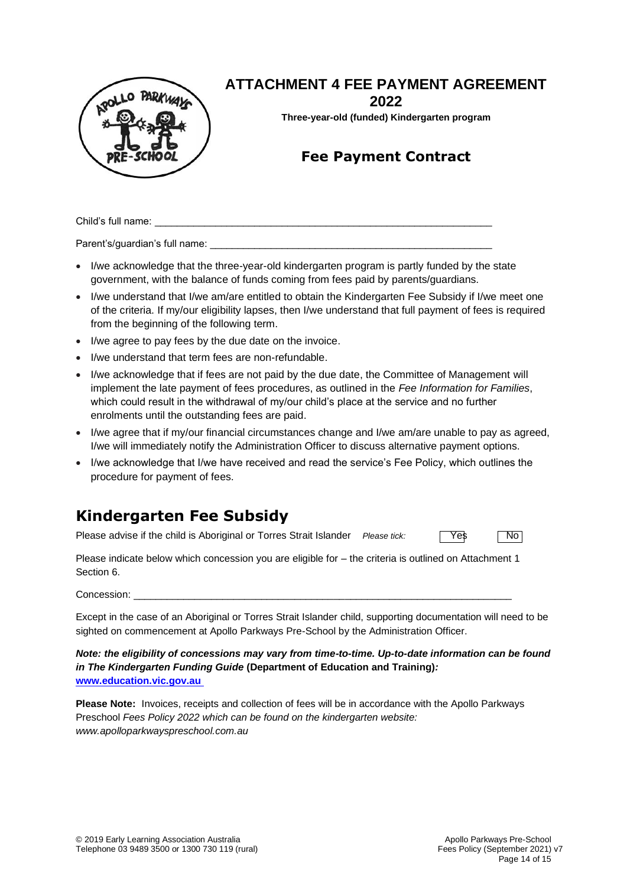

## **ATTACHMENT 4 FEE PAYMENT AGREEMENT**

**2022**

**Three-year-old (funded) Kindergarten program**

## **Fee Payment Contract**

Child's full name:

Parent's/guardian's full name:

- I/we acknowledge that the three-year-old kindergarten program is partly funded by the state government, with the balance of funds coming from fees paid by parents/guardians.
- I/we understand that I/we am/are entitled to obtain the Kindergarten Fee Subsidy if I/we meet one of the criteria. If my/our eligibility lapses, then I/we understand that full payment of fees is required from the beginning of the following term.
- I/we agree to pay fees by the due date on the invoice.
- I/we understand that term fees are non-refundable.
- I/we acknowledge that if fees are not paid by the due date, the Committee of Management will implement the late payment of fees procedures, as outlined in the *Fee Information for Families*, which could result in the withdrawal of my/our child's place at the service and no further enrolments until the outstanding fees are paid.
- I/we agree that if my/our financial circumstances change and I/we am/are unable to pay as agreed, I/we will immediately notify the Administration Officer to discuss alternative payment options.
- I/we acknowledge that I/we have received and read the service's Fee Policy, which outlines the procedure for payment of fees.

## **Kindergarten Fee Subsidy**

Please advise if the child is Aboriginal or Torres Strait Islander *Please tick:*  $\sqrt{Y}$ es No

Please indicate below which concession you are eligible for – the criteria is outlined on Attachment 1 Section 6.

Concession: \_\_\_\_\_\_\_\_\_\_\_\_\_\_\_\_\_\_\_\_\_\_\_\_\_\_\_\_\_\_\_\_\_\_\_\_\_\_\_\_\_\_\_\_\_\_\_\_\_\_\_\_\_\_\_\_\_\_\_\_\_\_\_\_\_\_\_\_

Except in the case of an Aboriginal or Torres Strait Islander child, supporting documentation will need to be sighted on commencement at Apollo Parkways Pre-School by the Administration Officer.

*Note: the eligibility of concessions may vary from time-to-time. Up-to-date information can be found in The Kindergarten Funding Guide* **(Department of Education and Training)***:* **[www.education.vic.gov.au](http://www.education.vic.gov.au/)**

**Please Note:** Invoices, receipts and collection of fees will be in accordance with the Apollo Parkways Preschool *Fees Policy 2022 which can be found on the kindergarten website: www.apolloparkwayspreschool.com.au*